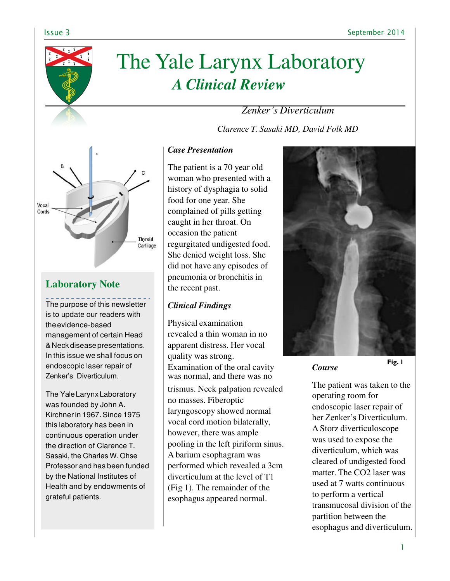

# The Yale Larynx Laboratory *A Clinical Review*

*Zenker's Diverticulum*

*Clarence T. Sasaki MD, David Folk MD*



# **Laboratory Note**

The purpose of this newsletter is to update our readers with the evidence-based management of certain Head & Neck disease presentations. In this issue we shall focus on endoscopic laser repair of Zenker's Diverticulum.

The Yale Larynx Laboratory was founded by John A. Kirchner in 1967. Since 1975 this laboratory has been in continuous operation under the direction of Clarence T. Sasaki, the Charles W. Ohse Professor and has been funded by the National Institutes of Health and by endowments of grateful patients.

# *Case Presentation*

The patient is a 70 year old woman who presented with a history of dysphagia to solid food for one year. She complained of pills getting caught in her throat. On occasion the patient regurgitated undigested food. She denied weight loss. She did not have any episodes of pneumonia or bronchitis in the recent past.

## *Clinical Findings*

Physical examination revealed a thin woman in no apparent distress. Her vocal quality was strong. Examination of the oral cavity was normal, and there was no trismus. Neck palpation revealed no masses. Fiberoptic laryngoscopy showed normal vocal cord motion bilaterally, however, there was ample pooling in the left piriform sinus. A barium esophagram was performed which revealed a 3cm diverticulum at the level of T1 (Fig 1). The remainder of the esophagus appeared normal.



*Course*

The patient was taken to the operating room for endoscopic laser repair of her Zenker's Diverticulum. A Storz diverticuloscope was used to expose the diverticulum, which was cleared of undigested food matter. The CO2 laser was used at 7 watts continuous to perform a vertical transmucosal division of the partition between the esophagus and diverticulum.

**Fig. 1**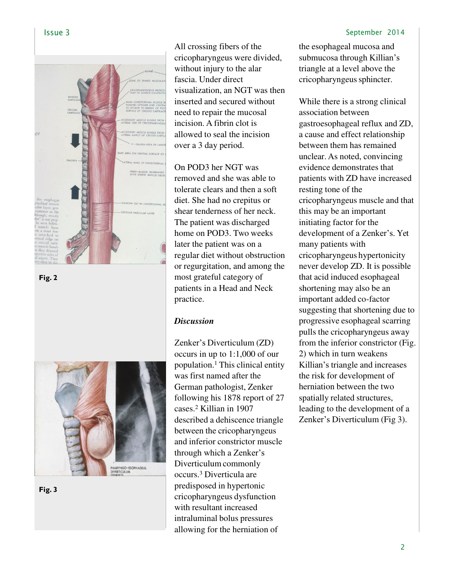

**Fig. 2**



**Fig. 3**

All crossing fibers of the cricopharyngeus were divided, without injury to the alar fascia. Under direct visualization, an NGT was then inserted and secured without need to repair the mucosal incision. A fibrin clot is allowed to seal the incision over a 3 day period.

On POD3 her NGT was removed and she was able to tolerate clears and then a soft diet. She had no crepitus or shear tenderness of her neck. The patient was discharged home on POD3. Two weeks later the patient was on a regular diet without obstruction or regurgitation, and among the most grateful category of patients in a Head and Neck practice.

#### *Discussion*

Zenker's Diverticulum (ZD) occurs in up to 1:1,000 of our population.<sup>1</sup>This clinical entity was first named after the German pathologist, Zenker following his 1878 report of 27 cases.<sup>2</sup>Killian in 1907 described a dehiscence triangle between the cricopharyngeus and inferior constrictor muscle through which a Zenker's Diverticulum commonly occurs.<sup>3</sup>Diverticula are predisposed in hypertonic cricopharyngeus dysfunction with resultant increased intraluminal bolus pressures allowing for the herniation of

### Issue 3 September 2014

the esophageal mucosa and submucosa through Killian's triangle at a level above the cricopharyngeus sphincter.

While there is a strong clinical association between gastroesophageal reflux and ZD, a cause and effect relationship between them has remained unclear. As noted, convincing evidence demonstrates that patients with ZD have increased resting tone of the cricopharyngeus muscle and that this may be an important initiating factor for the development of a Zenker's. Yet many patients with cricopharyngeus hypertonicity never develop ZD. It is possible that acid induced esophageal shortening may also be an important added co-factor suggesting that shortening due to progressive esophageal scarring pulls the cricopharyngeus away from the inferior constrictor (Fig. 2) which in turn weakens Killian's triangle and increases the risk for development of herniation between the two spatially related structures, leading to the development of a Zenker's Diverticulum (Fig 3).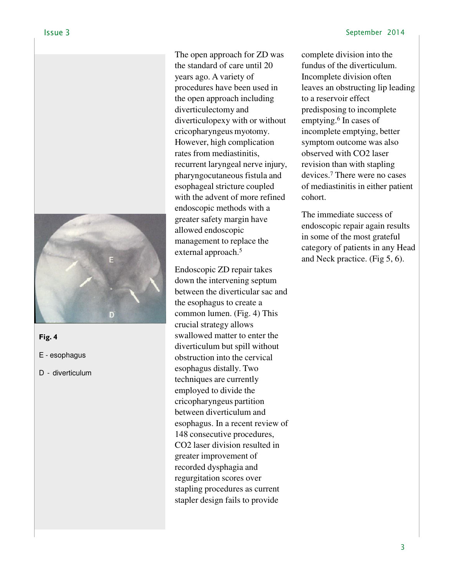

**Fig. 4**

E - esophagus

D - diverticulum

The open approach for ZD was the standard of care until 20 years ago. A variety of procedures have been used in the open approach including diverticulectomy and diverticulopexy with or without cricopharyngeus myotomy. However, high complication rates from mediastinitis, recurrent laryngeal nerve injury, pharyngocutaneous fistula and esophageal stricture coupled with the advent of more refined endoscopic methods with a greater safety margin have allowed endoscopic management to replace the external approach.<sup>5</sup>

Endoscopic ZD repair takes down the intervening septum between the diverticular sac and the esophagus to create a common lumen. (Fig. 4) This crucial strategy allows swallowed matter to enter the diverticulum but spill without obstruction into the cervical esophagus distally. Two techniques are currently employed to divide the cricopharyngeus partition between diverticulum and esophagus. In a recent review of 148 consecutive procedures, CO2 laser division resulted in greater improvement of recorded dysphagia and regurgitation scores over stapling procedures as current stapler design fails to provide

complete division into the fundus of the diverticulum. Incomplete division often leaves an obstructing lip leading to a reservoir effect predisposing to incomplete emptying.<sup>6</sup> In cases of incomplete emptying, better symptom outcome was also observed with CO2 laser revision than with stapling devices.<sup>7</sup>There were no cases of mediastinitis in either patient cohort.

The immediate success of endoscopic repair again results in some of the most grateful category of patients in any Head and Neck practice. (Fig 5, 6).